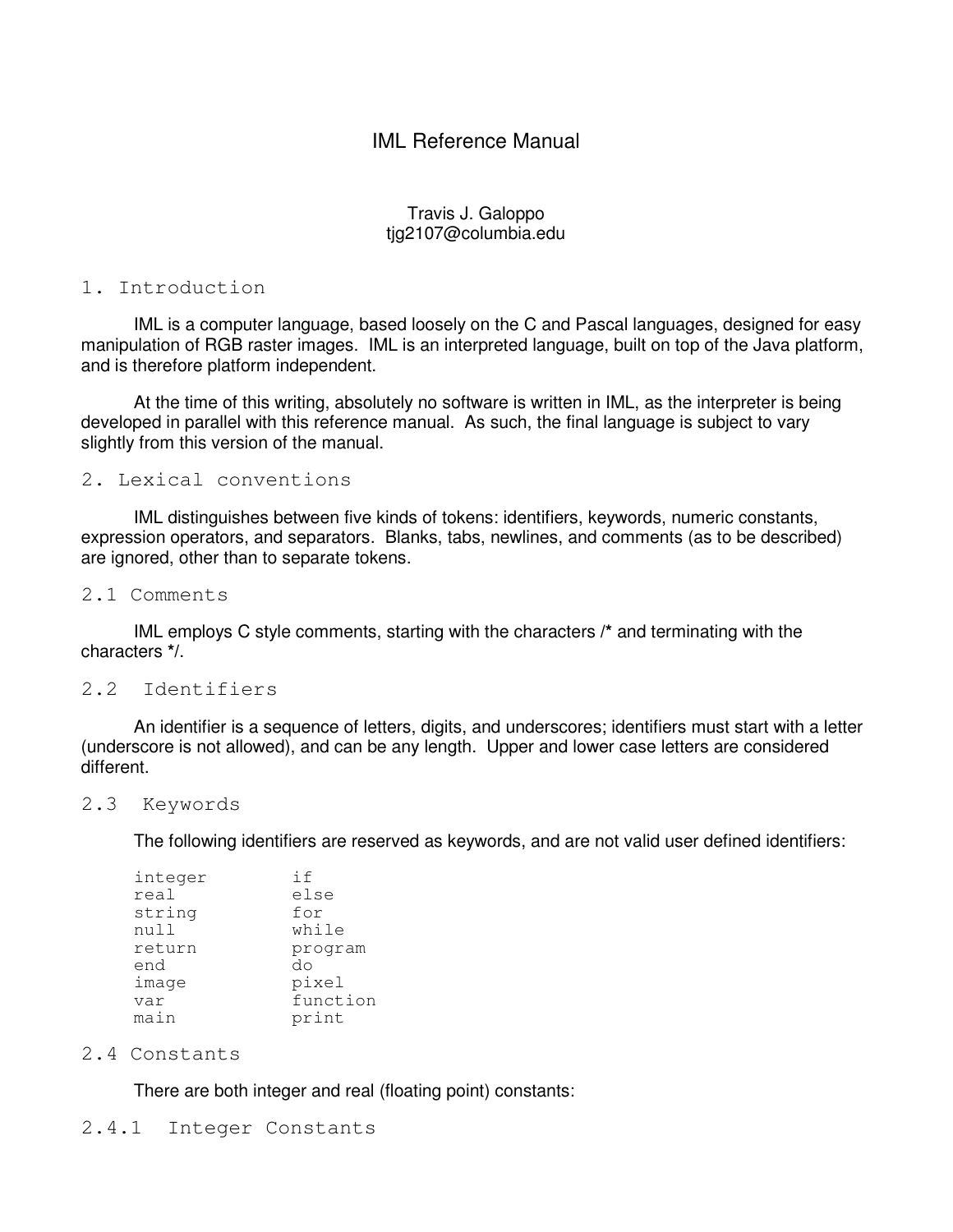# IML Reference Manual

# Travis J. Galoppo tjg2107@columbia.edu

# 1. Introduction

 IML is a computer language, based loosely on the C and Pascal languages, designed for easy manipulation of RGB raster images. IML is an interpreted language, built on top of the Java platform, and is therefore platform independent.

 At the time of this writing, absolutely no software is written in IML, as the interpreter is being developed in parallel with this reference manual. As such, the final language is subject to vary slightly from this version of the manual.

# 2. Lexical conventions

 IML distinguishes between five kinds of tokens: identifiers, keywords, numeric constants, expression operators, and separators. Blanks, tabs, newlines, and comments (as to be described) are ignored, other than to separate tokens.

#### 2.1 Comments

 IML employs C style comments, starting with the characters **/\*** and terminating with the characters **\*/**.

# 2.2 Identifiers

 An identifier is a sequence of letters, digits, and underscores; identifiers must start with a letter (underscore is not allowed), and can be any length. Upper and lower case letters are considered different.

#### 2.3 Keywords

The following identifiers are reserved as keywords, and are not valid user defined identifiers:

| integer | if       |
|---------|----------|
| real    | else     |
| string  | for      |
| null    | while    |
| return  | program  |
| end     | do       |
| image   | pixel    |
| var     | function |
| main    | print    |

#### 2.4 Constants

There are both integer and real (floating point) constants:

#### 2.4.1 Integer Constants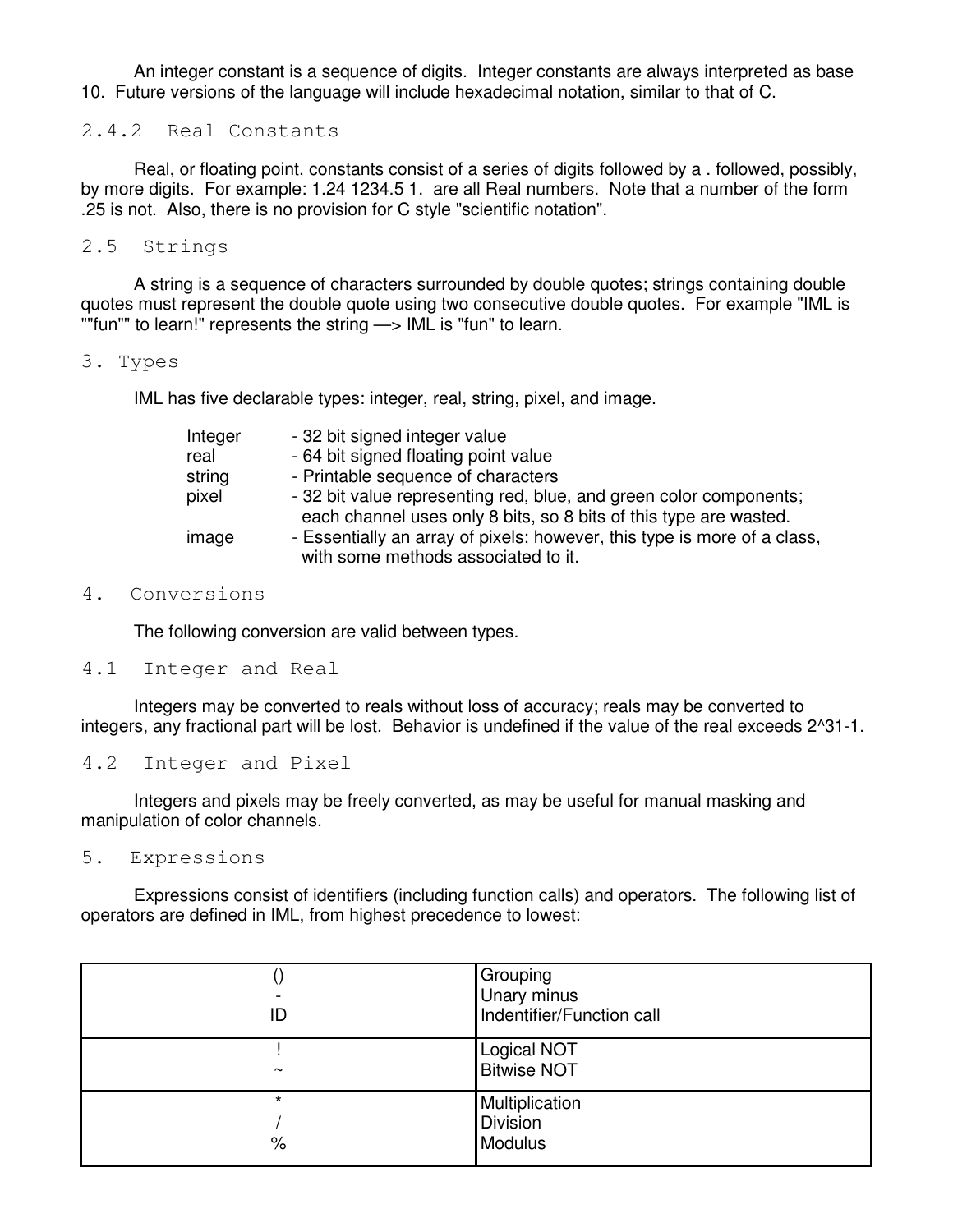An integer constant is a sequence of digits. Integer constants are always interpreted as base 10. Future versions of the language will include hexadecimal notation, similar to that of C.

2.4.2 Real Constants

 Real, or floating point, constants consist of a series of digits followed by a . followed, possibly, by more digits. For example: 1.24 1234.5 1. are all Real numbers. Note that a number of the form .25 is not. Also, there is no provision for C style "scientific notation".

2.5 Strings

 A string is a sequence of characters surrounded by double quotes; strings containing double quotes must represent the double quote using two consecutive double quotes. For example "IML is ""fun"" to learn!" represents the string —> IML is "fun" to learn.

#### 3. Types

IML has five declarable types: integer, real, string, pixel, and image.

| Integer | - 32 bit signed integer value                                            |
|---------|--------------------------------------------------------------------------|
| real    | - 64 bit signed floating point value                                     |
| string  | - Printable sequence of characters                                       |
| pixel   | - 32 bit value representing red, blue, and green color components;       |
|         | each channel uses only 8 bits, so 8 bits of this type are wasted.        |
| image   | - Essentially an array of pixels; however, this type is more of a class, |
|         | with some methods associated to it.                                      |

# 4. Conversions

The following conversion are valid between types.

# 4.1 Integer and Real

 Integers may be converted to reals without loss of accuracy; reals may be converted to integers, any fractional part will be lost. Behavior is undefined if the value of the real exceeds 2^31-1.

4.2 Integer and Pixel

 Integers and pixels may be freely converted, as may be useful for manual masking and manipulation of color channels.

5. Expressions

 Expressions consist of identifiers (including function calls) and operators. The following list of operators are defined in IML, from highest precedence to lowest:

| ID                       | Grouping<br>Unary minus<br>Indentifier/Function call |
|--------------------------|------------------------------------------------------|
| $\tilde{\phantom{a}}$    | <b>Logical NOT</b><br><b>Bitwise NOT</b>             |
| $\star$<br>$\frac{1}{6}$ | Multiplication<br>Division<br>Modulus                |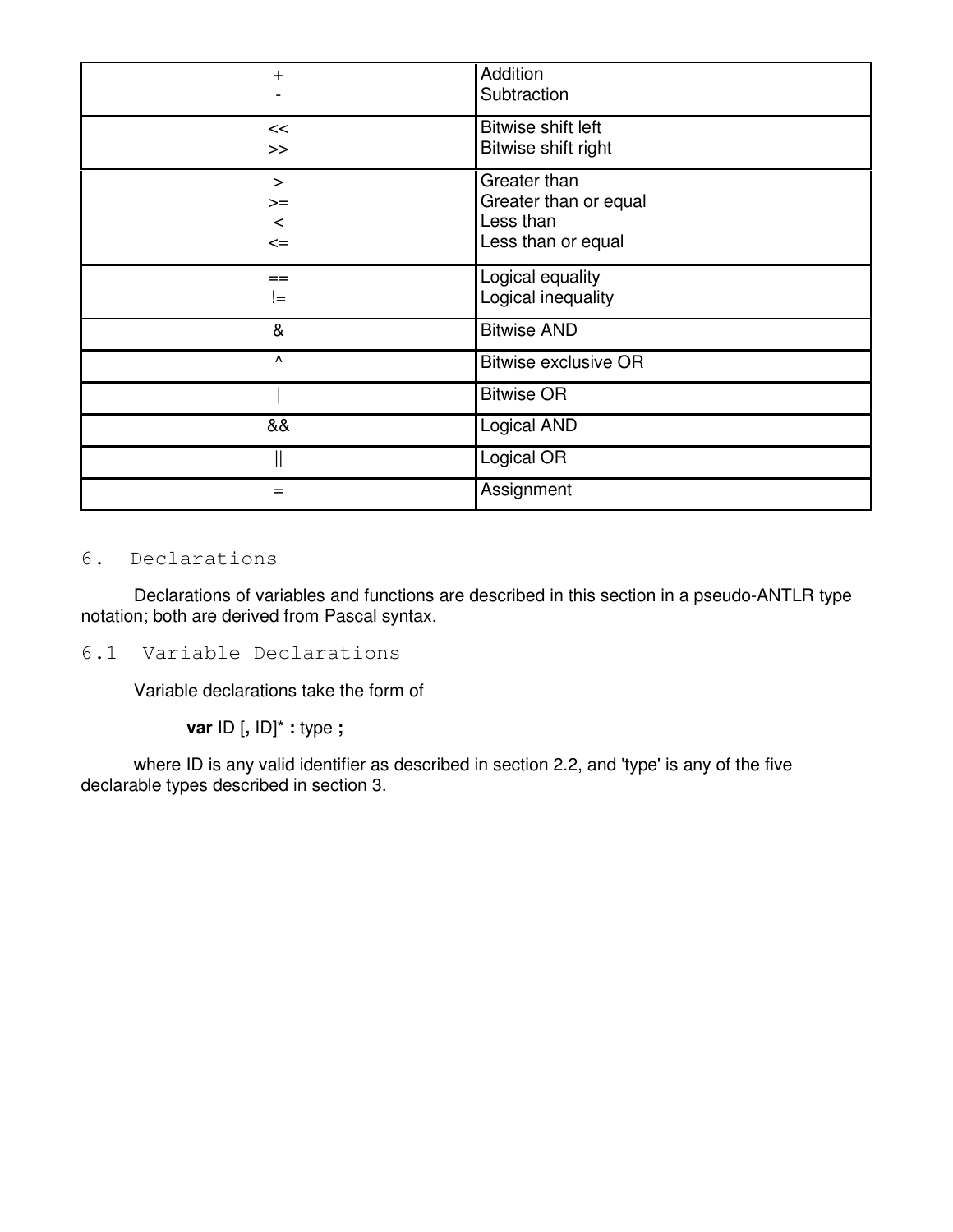| $+$                               | Addition<br>Subtraction                                                  |
|-----------------------------------|--------------------------------------------------------------------------|
| <<<br>>                           | Bitwise shift left<br>Bitwise shift right                                |
| $\geq$<br>$>=$<br>$\lt$<br>$\leq$ | Greater than<br>Greater than or equal<br>Less than<br>Less than or equal |
| $==$<br>!=                        | Logical equality<br>Logical inequality                                   |
| &                                 | <b>Bitwise AND</b>                                                       |
| Λ                                 | <b>Bitwise exclusive OR</b>                                              |
|                                   | <b>Bitwise OR</b>                                                        |
| &&                                | Logical AND                                                              |
|                                   | Logical OR                                                               |
| =                                 | Assignment                                                               |

# 6. Declarations

 Declarations of variables and functions are described in this section in a pseudo-ANTLR type notation; both are derived from Pascal syntax.

6.1 Variable Declarations

Variable declarations take the form of

**var** ID [**,** ID]\* **:** type **;**

 where ID is any valid identifier as described in section 2.2, and 'type' is any of the five declarable types described in section 3.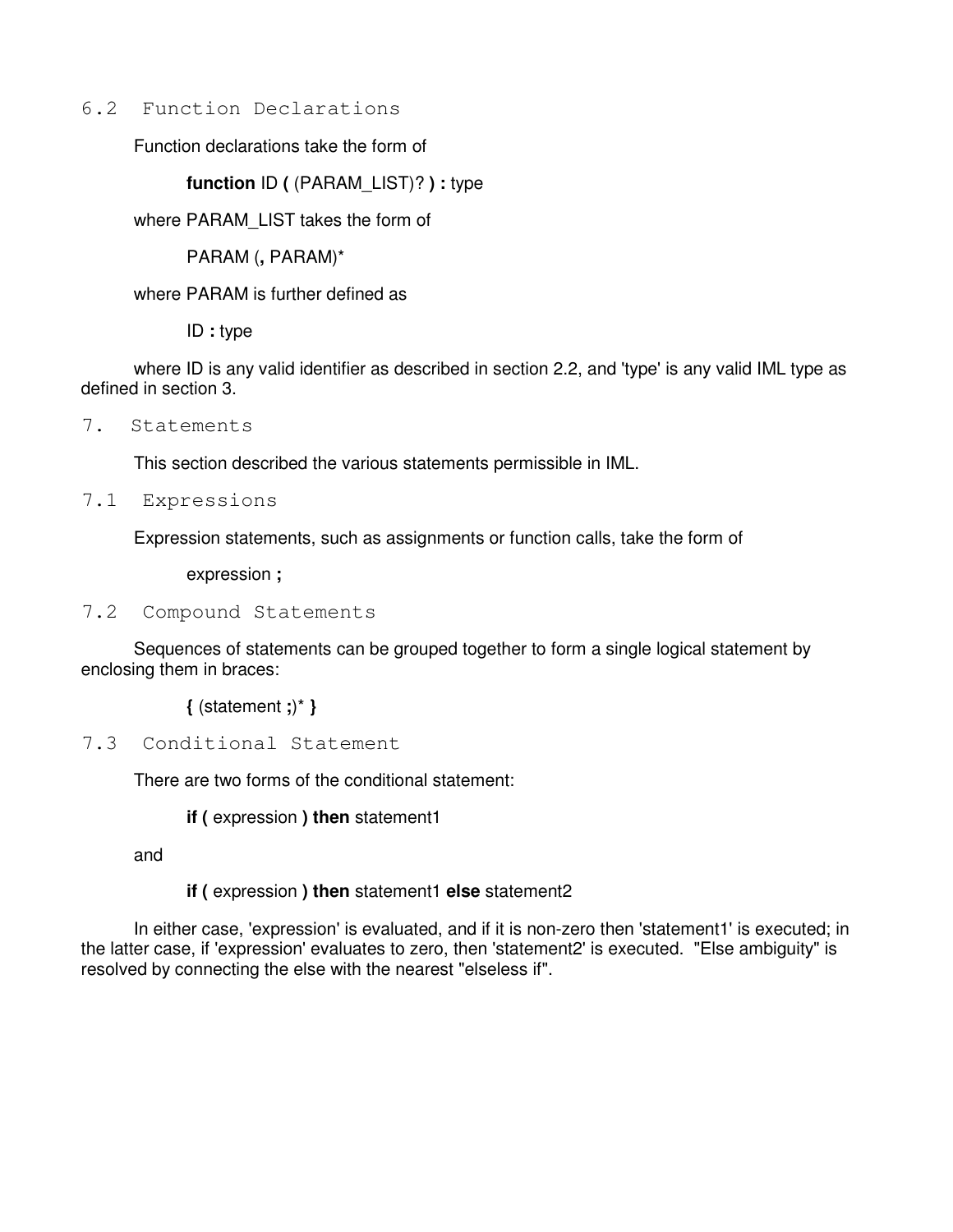# 6.2 Function Declarations

Function declarations take the form of

**function** ID **(** (PARAM\_LIST)? **) :** type

where PARAM\_LIST takes the form of

PARAM (**,** PARAM)\*

where PARAM is further defined as

ID **:** type

 where ID is any valid identifier as described in section 2.2, and 'type' is any valid IML type as defined in section 3.

7. Statements

This section described the various statements permissible in IML.

7.1 Expressions

Expression statements, such as assignments or function calls, take the form of

expression **;**

7.2 Compound Statements

 Sequences of statements can be grouped together to form a single logical statement by enclosing them in braces:

**{** (statement **;**)\* **}**

7.3 Conditional Statement

There are two forms of the conditional statement:

**if (** expression **) then** statement1

and

# **if (** expression **) then** statement1 **else** statement2

 In either case, 'expression' is evaluated, and if it is non-zero then 'statement1' is executed; in the latter case, if 'expression' evaluates to zero, then 'statement2' is executed. "Else ambiguity" is resolved by connecting the else with the nearest "elseless if".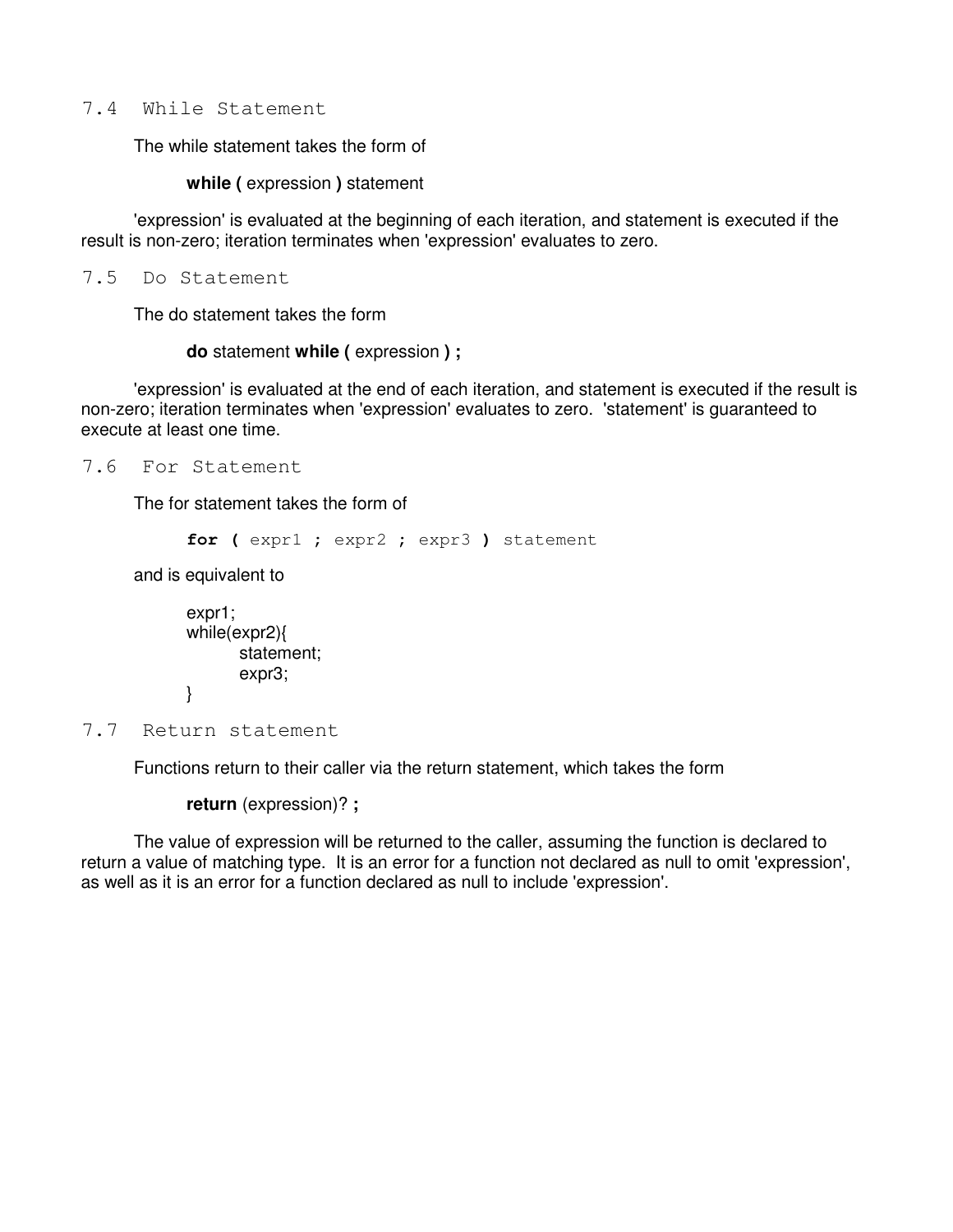7.4 While Statement

The while statement takes the form of

**while (** expression **)** statement

 'expression' is evaluated at the beginning of each iteration, and statement is executed if the result is non-zero; iteration terminates when 'expression' evaluates to zero.

7.5 Do Statement

The do statement takes the form

**do** statement **while (** expression **) ;**

'expression' is evaluated at the end of each iteration, and statement is executed if the result is non-zero; iteration terminates when 'expression' evaluates to zero. 'statement' is guaranteed to execute at least one time.

7.6 For Statement

The for statement takes the form of

```
 for ( expr1 ; expr2 ; expr3 ) statement
```
and is equivalent to

```
 expr1; 
             while(expr2){ 
                   statement; 
                   expr3; 
 }
```
7.7 Return statement

Functions return to their caller via the return statement, which takes the form

**return** (expression)? **;**

 The value of expression will be returned to the caller, assuming the function is declared to return a value of matching type. It is an error for a function not declared as null to omit 'expression', as well as it is an error for a function declared as null to include 'expression'.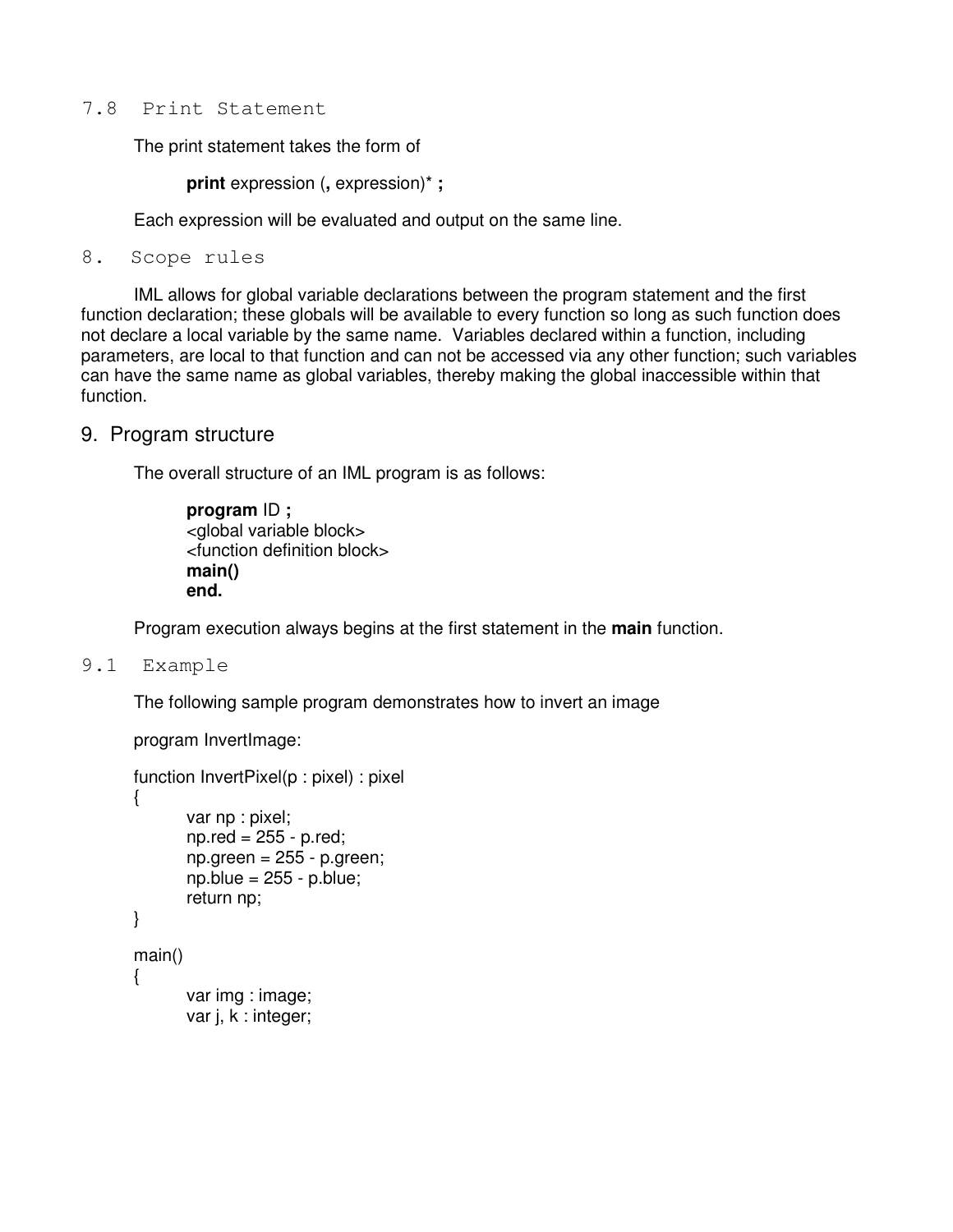7.8 Print Statement

The print statement takes the form of

**print** expression (**,** expression)\* **;**

Each expression will be evaluated and output on the same line.

8. Scope rules

 IML allows for global variable declarations between the program statement and the first function declaration; these globals will be available to every function so long as such function does not declare a local variable by the same name. Variables declared within a function, including parameters, are local to that function and can not be accessed via any other function; such variables can have the same name as global variables, thereby making the global inaccessible within that function.

9. Program structure

The overall structure of an IML program is as follows:

 **program** ID **;** <global variable block> <function definition block> **main() end.**

Program execution always begins at the first statement in the **main** function.

9.1 Example

The following sample program demonstrates how to invert an image

```
 program InvertImage:
```

```
 function InvertPixel(p : pixel) : pixel 
 { 
         var np : pixel; 
         np.red = 255 - p.red; 
        np.green = 255 - p.green;
        np.blue = 255 - p.blue;
         return np; 
 } 
 main() 
 { 
         var img : image; 
         var j, k : integer;
```